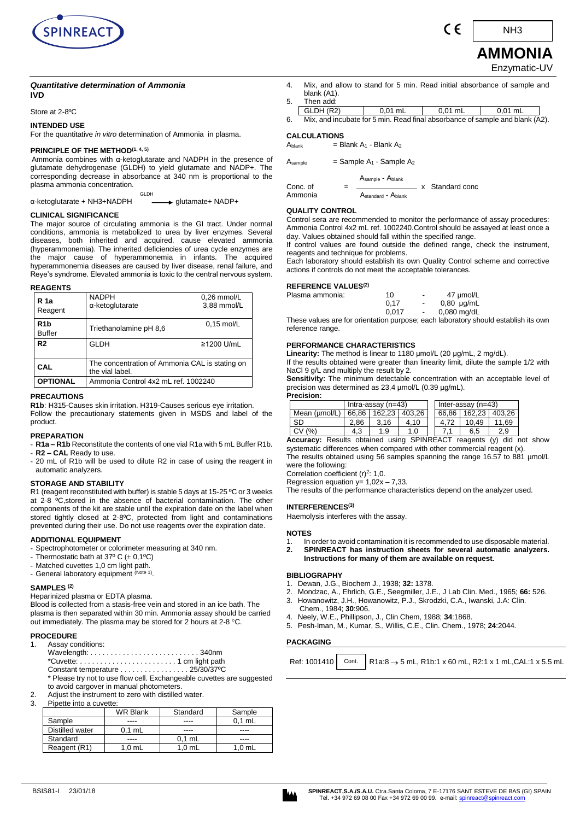

C E

**AMMONIA** NH3

# Enzymatic-UV

## *Quantitative determination of Ammonia*  **IVD**

Store at 2-8ºC

**INTENDED USE** 

For the quantitative *in vitro* determination of Ammonia in plasma.

#### **PRINCIPLE OF THE METHOD(1, 4, 5)**

Ammonia combines with α-ketoglutarate and NADPH in the presence of glutamate dehydrogenase (GLDH) to yield glutamate and NADP+. The corresponding decrease in absorbance at 340 nm is proportional to the plasma ammonia concentration.

GLDH α-ketoglutarate + NH3+NADPH glutamate+ NADP+

#### **CLINICAL SIGNIFICANCE**

The major source of circulating ammonia is the GI tract. Under normal conditions, ammonia is metabolized to urea by liver enzymes. Several diseases, both inherited and acquired, cause elevated ammonia (hyperammonemia). The inherited deficiencies of urea cycle enzymes are the major cause of hyperammonemia in infants. The acquired hyperammonemia diseases are caused by liver disease, renal failure, and Reye's syndrome. Elevated ammonia is toxic to the central nervous system.

## **REAGENTS**

| R 1a<br>Reagent                   | <b>NADPH</b><br>α-ketoglutarate                                                                          | $0.26$ mmol/L<br>3,88 mmol/L |  |
|-----------------------------------|----------------------------------------------------------------------------------------------------------|------------------------------|--|
| R <sub>1</sub> b<br><b>Buffer</b> | Triethanolamine pH 8.6                                                                                   | $0.15 \text{ mol/L}$         |  |
| R <sub>2</sub>                    | GLDH                                                                                                     | ≥1200 U/mL                   |  |
| CAL                               | The concentration of Ammonia CAL is stating on<br>the vial label.<br>Ammonia Control 4x2 mL ref. 1002240 |                              |  |
| <b>OPTIONAL</b>                   |                                                                                                          |                              |  |

#### **PRECAUTIONS**

**R1b**: H315-Causes skin irritation. H319-Causes serious eye irritation. Follow the precautionary statements given in MSDS and label of the product.

#### **PREPARATION**

- **R1a – R1b** Reconstitute the contents of one vial R1a with 5 mL Buffer R1b. - **R2 – CAL** Ready to use.

- 20 mL of R1b will be used to dilute R2 in case of using the reagent in automatic analyzers.

## **STORAGE AND STABILITY**

R1 (reagent reconstituted with buffer) is stable 5 days at 15-25 °C or 3 weeks at 2-8 <sup>o</sup>C, stored in the absence of bacterial contamination. The other components of the kit are stable until the expiration date on the label when stored tightly closed at 2-8ºC, protected from light and contaminations prevented during their use. Do not use reagents over the expiration date.

## **ADDITIONAL EQUIPMENT**

- Spectrophotometer or colorimeter measuring at 340 nm.

- Thermostatic bath at 37° C  $(\pm 0,1^{\circ}C)$
- Matched cuvettes 1,0 cm light path.
- General laboratory equipment <sup>(Note 1)</sup>.

## **SAMPLES (2)**

Heparinized plasma or EDTA plasma.

Blood is collected from a stasis-free vein and stored in an ice bath. The plasma is then separated within 30 min. Ammonia assay should be carried out immediately. The plasma may be stored for 2 hours at 2-8 °C.

#### **PROCEDURE**

| 1. Assay conditions:                                     |  |
|----------------------------------------------------------|--|
|                                                          |  |
|                                                          |  |
| Constant temperature 25/30/37 °C                         |  |
| * Please try not to use flow cell Exchangeable cuvettes: |  |

- s are suggested to avoid cargover in manual photometers.
- 2. Adjust the instrument to zero with distilled water.

## 3. Pipette into a cuvette:

|                 | <b>WR Blank</b>  | Standard         | Sample           |  |
|-----------------|------------------|------------------|------------------|--|
| Sample          |                  |                  | $0.1$ mL         |  |
| Distilled water | $0.1$ mL         | ----             | ----             |  |
| Standard        |                  | $0.1$ mL         |                  |  |
| Reagent (R1)    | $1,0 \text{ mL}$ | $1,0 \text{ mL}$ | $1,0 \text{ mL}$ |  |

4. Mix, and allow to stand for 5 min. Read initial absorbance of sample and blank (A1).

| 5 | Then add: |  |
|---|-----------|--|
|   | --------  |  |

| GLDH (R2)                                                                                        | mL | 0.01 mL | ົ <sup>ດ</sup> 1 mL |  |
|--------------------------------------------------------------------------------------------------|----|---------|---------------------|--|
| Maternalistic contexts of contexts. The coefficient who contexts of concerted and the child ALON |    |         |                     |  |

| 6. | Mix, and incubate for 5 min. Read final absorbance of sample and blank (A2). |  |  |
|----|------------------------------------------------------------------------------|--|--|
|    |                                                                              |  |  |

| $=$ Sample A <sub>1</sub> - Sample A <sub>2</sub><br>Asample |
|--------------------------------------------------------------|
|--------------------------------------------------------------|

 $\begin{array}{rcl} \text{A} & \text{A} \\ \text{Sample - Ablank} \\ \end{array}$ 

Astandard - Ablank

## **QUALITY CONTROL**

Control sera are recommended to monitor the performance of assay procedures: Ammonia Control 4x2 mL ref. 1002240.Control should be assayed at least once a day. Values obtained should fall within the specified range.

If control values are found outside the defined range, check the instrument, reagents and technique for problems.

Each laboratory should establish its own Quality Control scheme and corrective actions if controls do not meet the acceptable tolerances.

#### **REFERENCE VALUES(2)**

| Plasma ammonia: | 10    | $\overline{\phantom{a}}$ | 47 umol/L       |
|-----------------|-------|--------------------------|-----------------|
|                 | 0.17  | $\sim$                   | $0,80 \mu g/mL$ |
|                 | 0.017 | $\sim$                   | $0.080$ mg/dL   |

These values are for orientation purpose; each laboratory should establish its own reference range.

## **PERFORMANCE CHARACTERISTICS**

**Linearity:** The method is linear to 1180 μmol/L (20 μg/mL, 2 mg/dL).

If the results obtained were greater than linearity limit, dilute the sample 1/2 with NaCl 9 g/L and multiply the result by 2.

**Sensitivity:** The minimum detectable concentration with an acceptable level of precision was determined as 23,4 µmol/L (0.39 µg/mL). **Precision:** 

|               | Intra-assay $(n=43)$ |                         |      |  | Inter-assay (n=43) |                         |       |
|---------------|----------------------|-------------------------|------|--|--------------------|-------------------------|-------|
| Mean (umol/L) |                      | 66.86   162.23   403.26 |      |  |                    | 66.86   162.23   403.26 |       |
| SD            | 2.86                 | 3.16                    | 4.10 |  |                    | 10.49                   | 11.69 |
| CV (%)        | 4.3                  | .9                      | 1.0  |  |                    | 6.5                     | 2.9   |

**Accuracy:** Results obtained using SPINREACT reagents (y) did not show systematic differences when compared with other commercial reagent (x). The results obtained using 56 samples spanning the range 16.57 to 881 µmol/L

were the following:

Correlation coefficient  $(r)^2$ : 1,0.

Regression equation  $y= 1,02x - 7,33$ . The results of the performance characteristics depend on the analyzer used.

#### **INTERFERENCES(3)**

Haemolysis interferes with the assay.

#### **NOTES**

- 1. In order to avoid contamination it is recommended to use disposable material.
- **2. SPINREACT has instruction sheets for several automatic analyzers. Instructions for many of them are available on request.**

#### **BIBLIOGRAPHY**

- 1. Dewan, J.G., Biochem J., 1938; **32:** 1378.
- 2. Mondzac, A., Ehrlich, G.E., Seegmiller, J.E., J Lab Clin. Med., 1965; **66:** 526.
- 3. Howanowitz, J.H., Howanowitz, P.J., Skrodzki, C.A., Iwanski, J.A: Clin. Chem., 1984; **30**:906.
- 4. Neely, W.E., Phillipson, J., Clin Chem, 1988; **34**:1868.
- 5. Pesh-Iman, M., Kumar, S., Willis, C.E., Clin. Chem., 1978; **24**:2044.

## **PACKAGING**

Ref: 1001410 Cont.  $\rightarrow$  5 mL, R1b:1 x 60 mL, R2:1 x 1 mL,CAL:1 x 5.5 mL



| <b>CALCULATIONS</b> |                                                 |
|---------------------|-------------------------------------------------|
| Ablank              | $=$ Blank A <sub>1</sub> - Blank A <sub>2</sub> |

Conc. of  $=$   $\frac{1}{\sqrt{1-\frac{1}{1-\frac{1}{1-\frac{1}{1-\frac{1}{1-\frac{1}{1-\frac{1}{1-\frac{1}{1-\frac{1}{1-\frac{1}{1-\frac{1}{1-\frac{1}{1-\frac{1}{1-\frac{1}{1-\frac{1}{1-\frac{1}{1-\frac{1}{1-\frac{1}{1-\frac{1}{1-\frac{1}{1-\frac{1}{1-\frac{1}{1-\frac{1}{1-\frac{1}{1-\frac{1}{1-\frac{1}{1-\frac{1}{1-\frac{1}{1-\frac{1}{1-\frac{1}{1-\frac{1}{1-\frac{1}{1-\frac{1}{1-\frac{1}{1$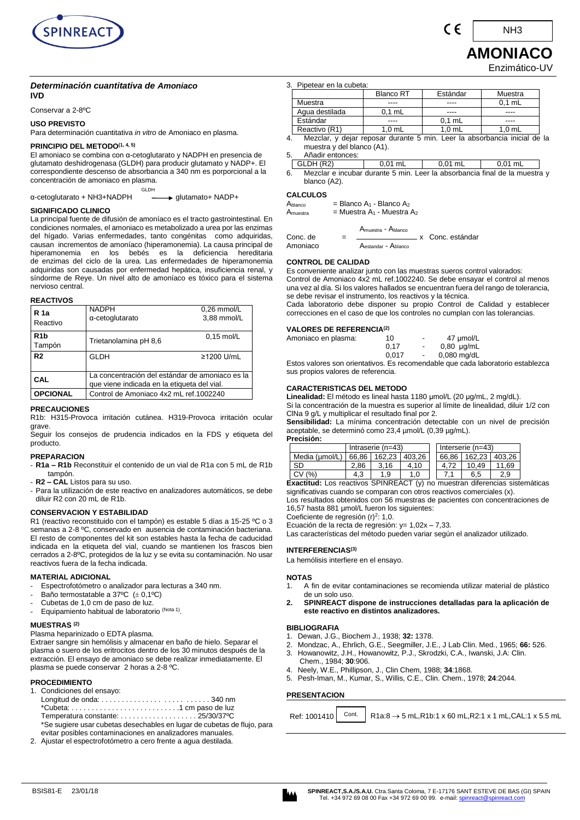

#### *Determinación cuantitativa de Amoniaco* **IVD**

Conservar a 2-8ºC

## **USO PREVISTO**

Para determinación cuantitativa *in vitro* de Amoniaco en plasma.

## **PRINCIPIO DEL METODO(1, 4, 5)**

El amoniaco se combina con α-cetoglutarato y NADPH en presencia de glutamato deshidrogenasa (GLDH) para producir glutamato y NADP+. El correspondiente descenso de absorbancia a 340 nm es porporcional a la concentración de amoniaco en plasma.

GLDH α-cetoglutarato + NH3+NADPH glutamato+ NADP+

## **SIGNIFICADO CLINICO**

La principal fuente de difusión de amoníaco es el tracto gastrointestinal. En condiciones normales, el amoniaco es metabolizado a urea por las enzimas del hígado. Varias enfermedades, tanto congénitas como adquiridas, causan incrementos de amoníaco (hiperamonemia). La causa principal de en los bebés es la deficiencia hereditaria de enzimas del ciclo de la urea. Las enfermedades de hiperamonemia adquiridas son causadas por enfermedad hepática, insuficiencia renal, y síndorme de Reye. Un nivel alto de amoníaco es tóxico para el sistema nervioso central.

#### **REACTIVOS**

| R <sub>1a</sub><br>Reactivo | <b>NADPH</b><br>$\alpha$ -cetoglutarato                                                        | $0.26$ mmol/L<br>3,88 mmol/L |  |
|-----------------------------|------------------------------------------------------------------------------------------------|------------------------------|--|
| R <sub>1</sub> b<br>Tampón  | Trietanolamina pH 8,6                                                                          | $0.15$ mol/L                 |  |
| R <sub>2</sub>              | <b>GLDH</b>                                                                                    | ≥1200 U/mL                   |  |
| <b>CAL</b>                  | La concentración del estándar de amoniaco es la<br>que viene indicada en la etiqueta del vial. |                              |  |
| <b>OPCIONAL</b>             | Control de Amoniaco 4x2 mL ref.1002240                                                         |                              |  |

## **PRECAUCIONES**

R1b: H315-Provoca irritación cutánea. H319-Provoca irritación ocular grave.

Seguir los consejos de prudencia indicados en la FDS y etiqueta del producto.

## **PREPARACION**

- **R1a – R1b** Reconstituir el contenido de un vial de R1a con 5 mL de R1b tampón.
- **R2 – CAL** Listos para su uso.
- Para la utilización de este reactivo en analizadores automáticos, se debe diluir R2 con 20 mL de R1b.

## **CONSERVACION Y ESTABILIDAD**

R1 (reactivo reconstituido con el tampón) es estable 5 días a 15-25 ºC o 3 semanas a 2-8 ºC, conservado en ausencia de contaminación bacteriana. El resto de componentes del kit son estables hasta la fecha de caducidad indicada en la etiqueta del vial, cuando se mantienen los frascos bien cerrados a 2-8ºC, protegidos de la luz y se evita su contaminación. No usar reactivos fuera de la fecha indicada.

## **MATERIAL ADICIONAL**

- Espectrofotómetro o analizador para lecturas a 340 nm.
- Baño termostatable a 37°C  $(\pm 0,1$ °C)
- Cubetas de 1,0 cm de paso de luz.
- Equipamiento habitual de laboratorio (Nota 1).

## **MUESTRAS (2)**

Plasma heparinizado o EDTA plasma.

Extraer sangre sin hemólisis y almacenar en baño de hielo. Separar el plasma o suero de los eritrocitos dentro de los 30 minutos después de la extracción. El ensayo de amoniaco se debe realizar inmediatamente. El plasma se puede conservar 2 horas a 2-8 ºC.

## **PROCEDIMIENTO**

- 1. Condiciones del ensayo:
- Longitud de onda: . . . . . . . . . . . . . . . . . . . . . . . . . . 340 nm \*Cubeta: . . . . . . . . . . . . . . . . . . . . . . . . . . .1 cm paso de luz Temperatura constante: . . . . . . . . . . . . . . . . . . . 25/30/37ºC \*Se sugiere usar cubetas desechables en lugar de cubetas de flujo, para evitar posibles contaminaciones en analizadores manuales.
- 2. Ajustar el espectrofotómetro a cero frente a agua destilada.

|                                                                                                            | 3. Pipetear en la cubeta: |                  |          |                   |  |  |  |
|------------------------------------------------------------------------------------------------------------|---------------------------|------------------|----------|-------------------|--|--|--|
|                                                                                                            |                           | <b>Blanco RT</b> | Estándar | Muestra           |  |  |  |
|                                                                                                            | Muestra                   |                  |          | $0.1$ mL          |  |  |  |
|                                                                                                            | Agua destilada            | $0.1$ mL         |          |                   |  |  |  |
|                                                                                                            | Estándar                  |                  | $0.1$ mL |                   |  |  |  |
|                                                                                                            | Reactivo (R1)             | $1.0$ mL         | $1.0$ mL | 1.0 <sub>mL</sub> |  |  |  |
| Mezclar, y dejar reposar durante 5 min. Leer la absorbancia inicial de la<br>١٨٨١ ممدماما امامين معلممينمه |                           |                  |          |                   |  |  |  |

muestra y del blanco (A1). 5. Añadir entonces:

GLDH (R2)  $\begin{array}{|c|c|c|c|c|c|} \hline \text{GLDH (R2)} & 0,01 \text{ mL} & 0,01 \text{ mL} & 0,01 \text{ mL} \ \hline \end{array}$ 

6. Mezclar e incubar durante 5 min. Leer la absorbancia final de la muestra y blanco (A2).

## **CALCULOS**

 $A<sub>blanco</sub>$  = Blanco  $A<sub>1</sub>$  - Blanco  $A<sub>2</sub>$ 

 $A<sub>muestra</sub>$  = Muestra  $A<sub>1</sub>$  - Muestra  $A<sub>2</sub>$ 

Amuestra - Ablanco

Conc. de = x Conc. estándar Aestandar - Ablanco

## **CONTROL DE CALIDAD**

Es conveniente analizar junto con las muestras sueros control valorados: Control de Amoniaco 4x2 mL ref.1002240. Se debe ensayar el control al menos una vez al día. Si los valores hallados se encuentran fuera del rango de tolerancia, se debe revisar el instrumento, los reactivos y la técnica.

Cada laboratorio debe disponer su propio Control de Calidad y establecer correcciones en el caso de que los controles no cumplan con las tolerancias.

#### **VALORES DE REFERENCIA(2)**

| Amoniaco en plasma: | 10    | ٠      | 47 umol/L       |
|---------------------|-------|--------|-----------------|
|                     | 0.17  | $\sim$ | $0,80 \mu g/mL$ |
|                     | 0.017 | $\sim$ | $0.080$ mg/dL   |

Estos valores son orientativos. Es recomendable que cada laboratorio establezca sus propios valores de referencia.

## **CARACTERISTICAS DEL METODO**

**Linealidad:** El método es lineal hasta 1180 μmol/L (20 μg/mL, 2 mg/dL). Si la concentración de la muestra es superior al límite de linealidad, diluir 1/2 con

ClNa 9 g/L y multiplicar el resultado final por 2. **Sensibilidad:** La mínima concentración detectable con un nivel de precisión aceptable, se determinó como 23,4 µmol/L (0,39 µg/mL).

**Precisión:** 

|                | Intraserie (n=43) |        |        |       | Interserie $(n=43)$ |       |
|----------------|-------------------|--------|--------|-------|---------------------|-------|
| Media (umol/L) | 66.86             | 162.23 | 403.26 | 66.86 | 162.23 403.26       |       |
| <b>SD</b>      | 2.86              | 3.16   | 4.10   | 4.72  | 10.49               | 11.69 |
| CV (%)         | 4.3               | .9     | 1.0    |       | 6.5                 | 2.9   |
|                |                   |        |        |       |                     |       |

**Exactitud:** Los reactivos SPINREACT (y) no muestran diferencias sistemáticas significativas cuando se comparan con otros reactivos comerciales (x).

Los resultados obtenidos con 56 muestras de pacientes con concentraciones de 16,57 hasta 881 µmol/L fueron los siguientes:

Coeficiente de regresión  $(r)^2$ : 1,0.

Ecuación de la recta de regresión:  $y = 1,02x - 7,33$ .

Las características del método pueden variar según el analizador utilizado.

## **INTERFERENCIAS(3)**

La hemólisis interfiere en el ensayo.

#### **NOTAS**

- 1. A fin de evitar contaminaciones se recomienda utilizar material de plástico de un solo uso.
- **2. SPINREACT dispone de instrucciones detalladas para la aplicación de este reactivo en distintos analizadores.**

#### **BIBLIOGRAFIA**

- 1. Dewan, J.G., Biochem J., 1938; **32:** 1378.
- 2. Mondzac, A., Ehrlich, G.E., Seegmiller, J.E., J Lab Clin. Med., 1965; **66:** 526.
- 3. Howanowitz, J.H., Howanowitz, P.J., Skrodzki, C.A., Iwanski, J.A: Clin. Chem., 1984; **30**:906.
- 4. Neely, W.E., Phillipson, J., Clin Chem, 1988; **34**:1868.
- 5. Pesh-Iman, M., Kumar, S., Willis, C.E., Clin. Chem., 1978; **24**:2044.

#### **PRESENTACION**

Ref: 1001410 Cont.  $\rightarrow$  5 mL,R1b:1 x 60 mL,R2:1 x 1 mL,CAL:1 x 5.5 mL



NH3

C E

# **AMONIACO**

Enzimático-UV